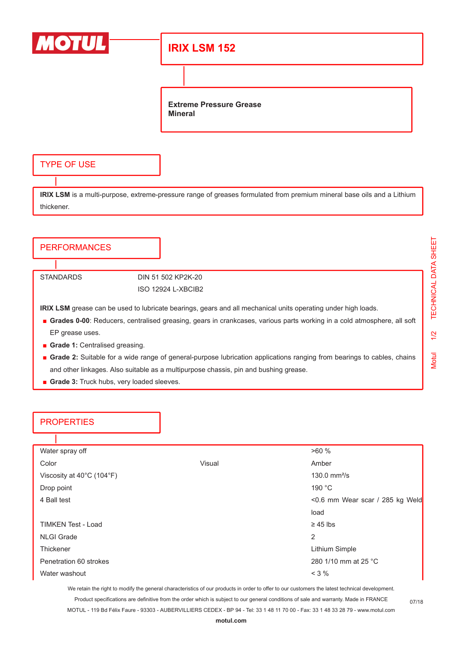

### **IRIX LSM 152**

**Extreme Pressure Grease Mineral**

### TYPE OF USE

**IRIX LSM** is a multi-purpose, extreme-pressure range of greases formulated from premium mineral base oils and a Lithium thickener.

# **PERFORMANCES** STANDARDS DIN 51 502 KP2K-20 ISO 12924 L-XBCIB2 **IRIX LSM** grease can be used to lubricate bearings, gears and all mechanical units operating under high loads. ■ **Grades 0-00**: Reducers, centralised greasing, gears in crankcases, various parts working in a cold atmosphere, all soft EP grease uses.

- **Grade 1: Centralised greasing.**
- Grade 2: Suitable for a wide range of general-purpose lubrication applications ranging from bearings to cables, chains and other linkages. Also suitable as a multipurpose chassis, pin and bushing grease.
- **Grade 3:** Truck hubs, very loaded sleeves.

### **PROPERTIES**

| Water spray off           |        | >60%                            |
|---------------------------|--------|---------------------------------|
| Color                     | Visual | Amber                           |
| Viscosity at 40°C (104°F) |        | 130.0 $mm^2/s$                  |
| Drop point                |        | 190 °C                          |
| 4 Ball test               |        | <0.6 mm Wear scar / 285 kg Weld |
|                           |        | load                            |
| <b>TIMKEN Test - Load</b> |        | $\geq$ 45 lbs                   |
| <b>NLGI Grade</b>         |        | 2                               |
| Thickener                 |        | Lithium Simple                  |
| Penetration 60 strokes    |        | 280 1/10 mm at 25 °C            |
| Water washout             |        | $<$ 3 $%$                       |

We retain the right to modify the general characteristics of our products in order to offer to our customers the latest technical development.

Product specifications are definitive from the order which is subject to our general conditions of sale and warranty. Made in FRANCE MOTUL - 119 Bd Félix Faure - 93303 - AUBERVILLIERS CEDEX - BP 94 - Tel: 33 1 48 11 70 00 - Fax: 33 1 48 33 28 79 - www.motul.com

07/18